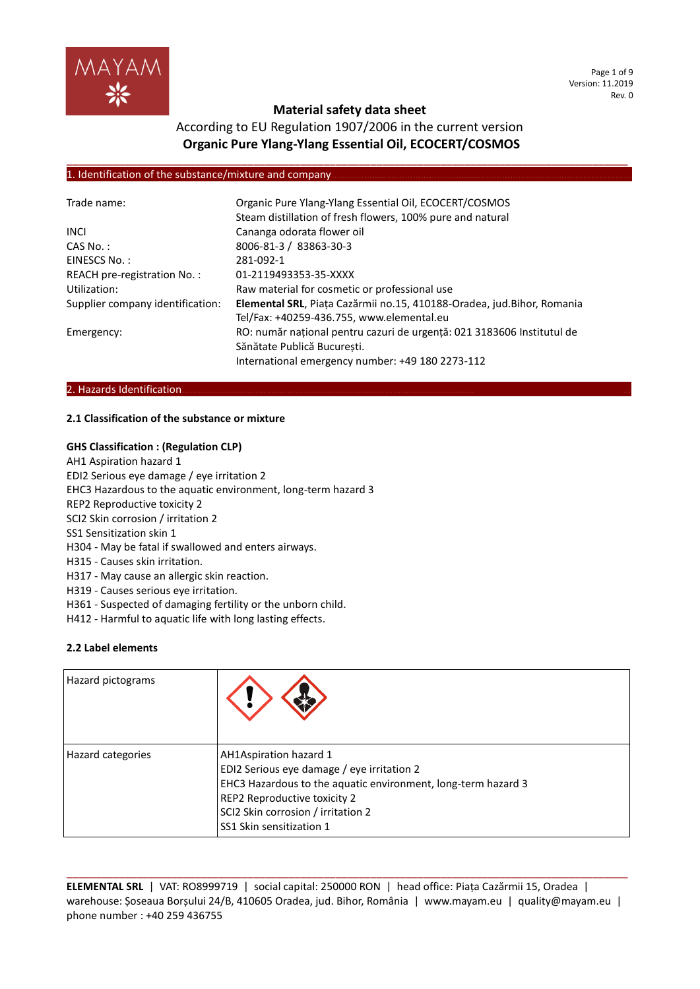

Page 1 of 9 Version: 11.2019 Rev. 0

# **Material safety data sheet**

# According to EU Regulation 1907/2006 in the current version **Organic Pure Ylang-Ylang Essential Oil, ECOCERT/COSMOS**

**\_\_\_\_\_\_\_\_\_\_\_\_\_\_\_\_\_\_\_\_\_\_\_\_\_\_\_\_\_\_\_\_\_\_\_\_\_\_\_\_\_\_\_\_\_\_\_\_\_\_\_\_\_\_\_\_\_\_\_\_\_\_\_\_\_\_\_\_\_\_\_\_\_\_\_\_\_\_\_\_\_\_\_\_\_\_\_\_\_\_\_\_\_\_\_\_**

### 1. Identification of the substance/mixture and company

| Trade name:                      | Organic Pure Ylang-Ylang Essential Oil, ECOCERT/COSMOS<br>Steam distillation of fresh flowers, 100% pure and natural |
|----------------------------------|----------------------------------------------------------------------------------------------------------------------|
| <b>INCL</b>                      | Cananga odorata flower oil                                                                                           |
| $CAS No.$ :                      | 8006-81-3 / 83863-30-3                                                                                               |
| EINESCS No.:                     | 281-092-1                                                                                                            |
| REACH pre-registration No.:      | 01-2119493353-35-XXXX                                                                                                |
| Utilization:                     | Raw material for cosmetic or professional use                                                                        |
| Supplier company identification: | Elemental SRL, Piața Cazărmii no.15, 410188-Oradea, jud. Bihor, Romania                                              |
|                                  | Tel/Fax: +40259-436.755, www.elemental.eu                                                                            |
| Emergency:                       | RO: număr național pentru cazuri de urgență: 021 3183606 Institutul de                                               |
|                                  | Sănătate Publică Bucuresti.                                                                                          |
|                                  | International emergency number: +49 180 2273-112                                                                     |

### 2. Hazards Identification.

### **2.1 Classification of the substance or mixture**

### **GHS Classification : (Regulation CLP)**

- AH1 Aspiration hazard 1
- EDI2 Serious eye damage / eye irritation 2

EHC3 Hazardous to the aquatic environment, long-term hazard 3

- REP2 Reproductive toxicity 2
- SCI2 Skin corrosion / irritation 2
- SS1 Sensitization skin 1
- H304 May be fatal if swallowed and enters airways.
- H315 Causes skin irritation.
- H317 May cause an allergic skin reaction.
- H319 Causes serious eye irritation.
- H361 Suspected of damaging fertility or the unborn child.
- H412 Harmful to aquatic life with long lasting effects.

### **2.2 Label elements**

| Hazard pictograms |                                                                                                                                                                                                                                         |
|-------------------|-----------------------------------------------------------------------------------------------------------------------------------------------------------------------------------------------------------------------------------------|
| Hazard categories | AH1Aspiration hazard 1<br>EDI2 Serious eye damage / eye irritation 2<br>EHC3 Hazardous to the aquatic environment, long-term hazard 3<br>REP2 Reproductive toxicity 2<br>SCI2 Skin corrosion / irritation 2<br>SS1 Skin sensitization 1 |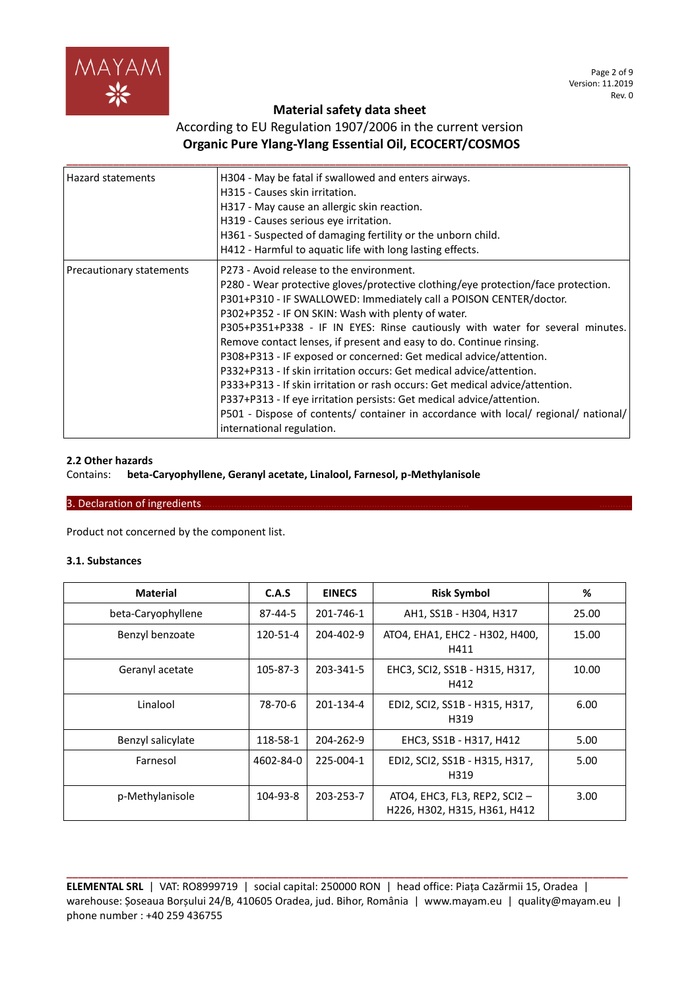

Page 2 of 9 Version: 11.2019 Rev. 0

# **Material safety data sheet**

# According to EU Regulation 1907/2006 in the current version **Organic Pure Ylang-Ylang Essential Oil, ECOCERT/COSMOS**

| <b>Hazard statements</b> | H304 - May be fatal if swallowed and enters airways.<br>H315 - Causes skin irritation.<br>H317 - May cause an allergic skin reaction.<br>H319 - Causes serious eye irritation.<br>H361 - Suspected of damaging fertility or the unborn child.<br>H412 - Harmful to aquatic life with long lasting effects.                                                                                                                                                                                                                                                                                                                                                                                                                                                                                                                                   |
|--------------------------|----------------------------------------------------------------------------------------------------------------------------------------------------------------------------------------------------------------------------------------------------------------------------------------------------------------------------------------------------------------------------------------------------------------------------------------------------------------------------------------------------------------------------------------------------------------------------------------------------------------------------------------------------------------------------------------------------------------------------------------------------------------------------------------------------------------------------------------------|
| Precautionary statements | P273 - Avoid release to the environment.<br>P280 - Wear protective gloves/protective clothing/eye protection/face protection.<br>P301+P310 - IF SWALLOWED: Immediately call a POISON CENTER/doctor.<br>P302+P352 - IF ON SKIN: Wash with plenty of water.<br>P305+P351+P338 - IF IN EYES: Rinse cautiously with water for several minutes.<br>Remove contact lenses, if present and easy to do. Continue rinsing.<br>P308+P313 - IF exposed or concerned: Get medical advice/attention.<br>P332+P313 - If skin irritation occurs: Get medical advice/attention.<br>P333+P313 - If skin irritation or rash occurs: Get medical advice/attention.<br>P337+P313 - If eye irritation persists: Get medical advice/attention.<br>P501 - Dispose of contents/ container in accordance with local/ regional/ national/<br>international regulation. |

### **2.2 Other hazards**

### Contains: **beta-Caryophyllene, Geranyl acetate, Linalool, Farnesol, p-Methylanisole**

### 3. Declaration of ingredients

Product not concerned by the component list.

### **3.1. Substances**

| <b>Material</b>    | C.A.S     | <b>EINECS</b> | <b>Risk Symbol</b>                                                   | %     |
|--------------------|-----------|---------------|----------------------------------------------------------------------|-------|
| beta-Caryophyllene | 87-44-5   | 201-746-1     | AH1, SS1B - H304, H317                                               | 25.00 |
| Benzyl benzoate    | 120-51-4  | 204-402-9     | ATO4, EHA1, EHC2 - H302, H400,<br>H411                               | 15.00 |
| Geranyl acetate    | 105-87-3  | 203-341-5     | EHC3, SCI2, SS1B - H315, H317,<br>H412                               | 10.00 |
| Linalool           | 78-70-6   | 201-134-4     | EDI2, SCI2, SS1B - H315, H317,<br>H319                               | 6.00  |
| Benzyl salicylate  | 118-58-1  | 204-262-9     | EHC3, SS1B - H317, H412                                              | 5.00  |
| Farnesol           | 4602-84-0 | 225-004-1     | EDI2, SCI2, SS1B - H315, H317,<br>H319                               | 5.00  |
| p-Methylanisole    | 104-93-8  | 203-253-7     | ATO4, EHC3, FL3, REP2, SCI2-<br>3.00<br>H226, H302, H315, H361, H412 |       |

**ELEMENTAL SRL** | VAT: RO8999719 | social capital: 250000 RON | head office: Piața Cazărmii 15, Oradea | warehouse: Șoseaua Borșului 24/B, 410605 Oradea, jud. Bihor, România | www.mayam.eu | quality@mayam.eu | phone number : +40 259 436755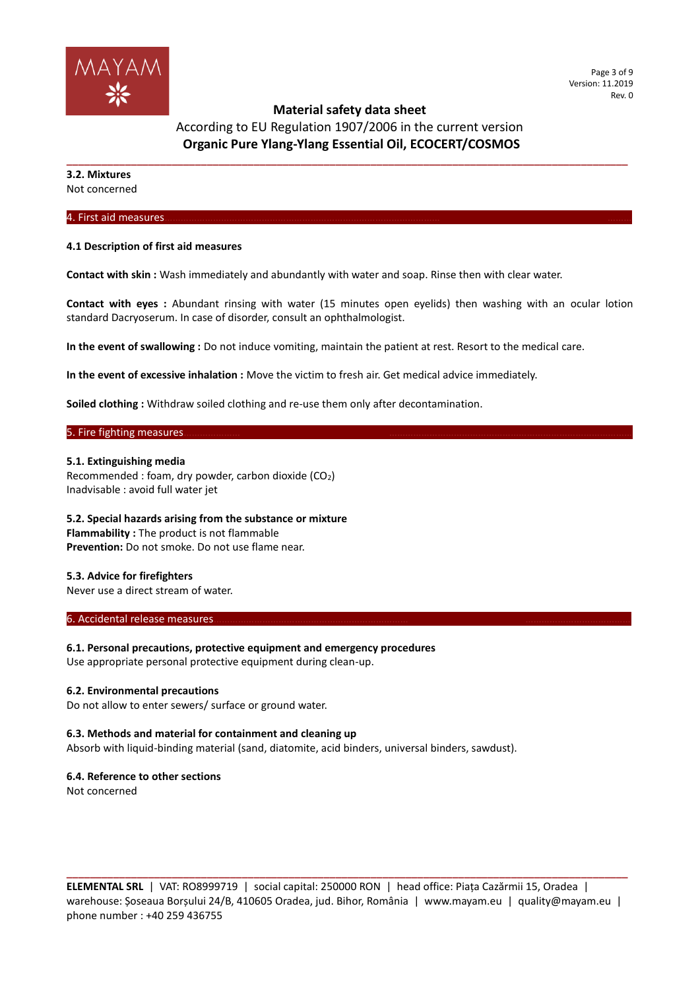

**\_\_\_\_\_\_\_\_\_\_\_\_\_\_\_\_\_\_\_\_\_\_\_\_\_\_\_\_\_\_\_\_\_\_\_\_\_\_\_\_\_\_\_\_\_\_\_\_\_\_\_\_\_\_\_\_\_\_\_\_\_\_\_\_\_\_\_\_\_\_\_\_\_\_\_\_\_\_\_\_\_\_\_\_\_\_\_\_\_\_\_\_\_\_\_\_**

According to EU Regulation 1907/2006 in the current version **Organic Pure Ylang-Ylang Essential Oil, ECOCERT/COSMOS**

**3.2. Mixtures** Not concerned

4. First aid measures………………………………………………………………………………………… ………

#### **4.1 Description of first aid measures**

**Contact with skin :** Wash immediately and abundantly with water and soap. Rinse then with clear water.

**Contact with eyes :** Abundant rinsing with water (15 minutes open eyelids) then washing with an ocular lotion standard Dacryoserum. In case of disorder, consult an ophthalmologist.

**In the event of swallowing :** Do not induce vomiting, maintain the patient at rest. Resort to the medical care.

**In the event of excessive inhalation :** Move the victim to fresh air. Get medical advice immediately.

**Soiled clothing :** Withdraw soiled clothing and re-use them only after decontamination.

### 5. Fire fighting measures.

#### **5.1. Extinguishing media**

Recommended : foam, dry powder, carbon dioxide (CO2) Inadvisable : avoid full water jet

### **5.2. Special hazards arising from the substance or mixture**

**Flammability :** The product is not flammable **Prevention:** Do not smoke. Do not use flame near.

### **5.3. Advice for firefighters**

Never use a direct stream of water.

#### 6. Accidental release measures.

**6.1. Personal precautions, protective equipment and emergency procedures**

Use appropriate personal protective equipment during clean-up.

#### **6.2. Environmental precautions**

Do not allow to enter sewers/ surface or ground water.

#### **6.3. Methods and material for containment and cleaning up**

Absorb with liquid-binding material (sand, diatomite, acid binders, universal binders, sawdust).

#### **6.4. Reference to other sections**

Not concerned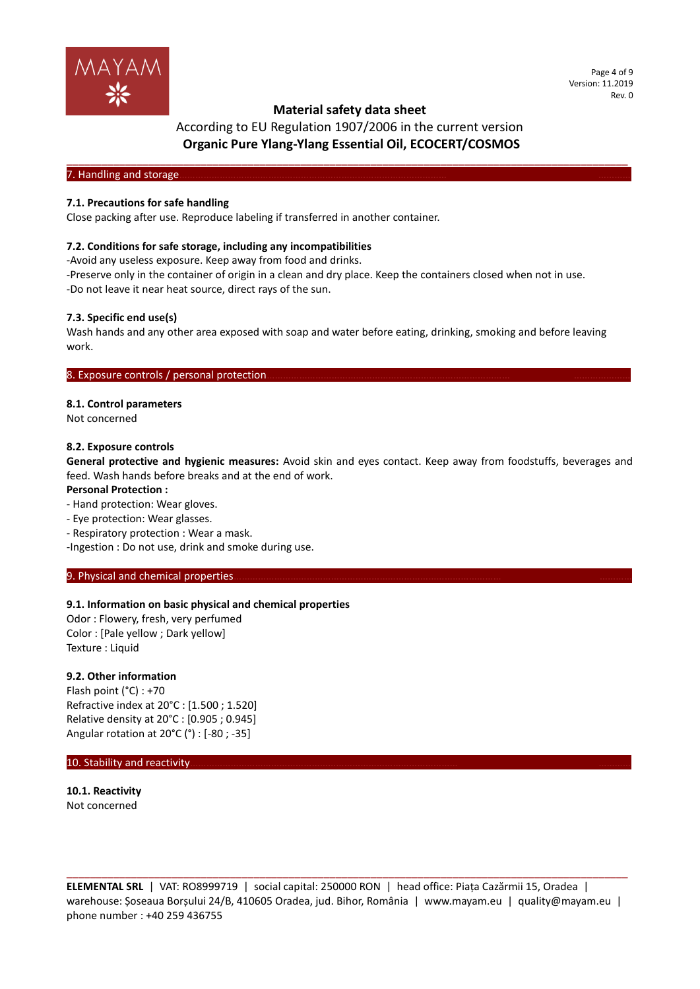

Page 4 of 9 Version: 11.2019 Rev. 0

# According to EU Regulation 1907/2006 in the current version **Organic Pure Ylang-Ylang Essential Oil, ECOCERT/COSMOS**

**\_\_\_\_\_\_\_\_\_\_\_\_\_\_\_\_\_\_\_\_\_\_\_\_\_\_\_\_\_\_\_\_\_\_\_\_\_\_\_\_\_\_\_\_\_\_\_\_\_\_\_\_\_\_\_\_\_\_\_\_\_\_\_\_\_\_\_\_\_\_\_\_\_\_\_\_\_\_\_\_\_\_\_\_\_\_\_\_\_\_\_\_\_\_\_\_** 7. Handling and storage.

### **7.1. Precautions for safe handling**

Close packing after use. Reproduce labeling if transferred in another container.

### **7.2. Conditions for safe storage, including any incompatibilities**

-Avoid any useless exposure. Keep away from food and drinks.

-Preserve only in the container of origin in a clean and dry place. Keep the containers closed when not in use. -Do not leave it near heat source, direct rays of the sun.

### **7.3. Specific end use(s)**

Wash hands and any other area exposed with soap and water before eating, drinking, smoking and before leaving work.

### 8. Exposure controls / personal protection

#### **8.1. Control parameters**

Not concerned

#### **8.2. Exposure controls**

**General protective and hygienic measures:** Avoid skin and eyes contact. Keep away from foodstuffs, beverages and feed. Wash hands before breaks and at the end of work.

#### **Personal Protection :**

- Hand protection: Wear gloves.

- Eye protection: Wear glasses.
- Respiratory protection : Wear a mask.

-Ingestion : Do not use, drink and smoke during use.

#### 9. Physical and chemical properties

### **9.1. Information on basic physical and chemical properties**

Odor : Flowery, fresh, very perfumed Color : [Pale yellow ; Dark yellow] Texture : Liquid

#### **9.2. Other information**

Flash point (°C) : +70 Refractive index at 20°C : [1.500 ; 1.520] Relative density at 20°C : [0.905 ; 0.945] Angular rotation at 20°C (°) : [-80 ; -35]

### 10. Stability and reactivity.

**10.1. Reactivity** Not concerned

**ELEMENTAL SRL** | VAT: RO8999719 | social capital: 250000 RON | head office: Piața Cazărmii 15, Oradea | warehouse: Șoseaua Borșului 24/B, 410605 Oradea, jud. Bihor, România | www.mayam.eu | quality@mayam.eu | phone number : +40 259 436755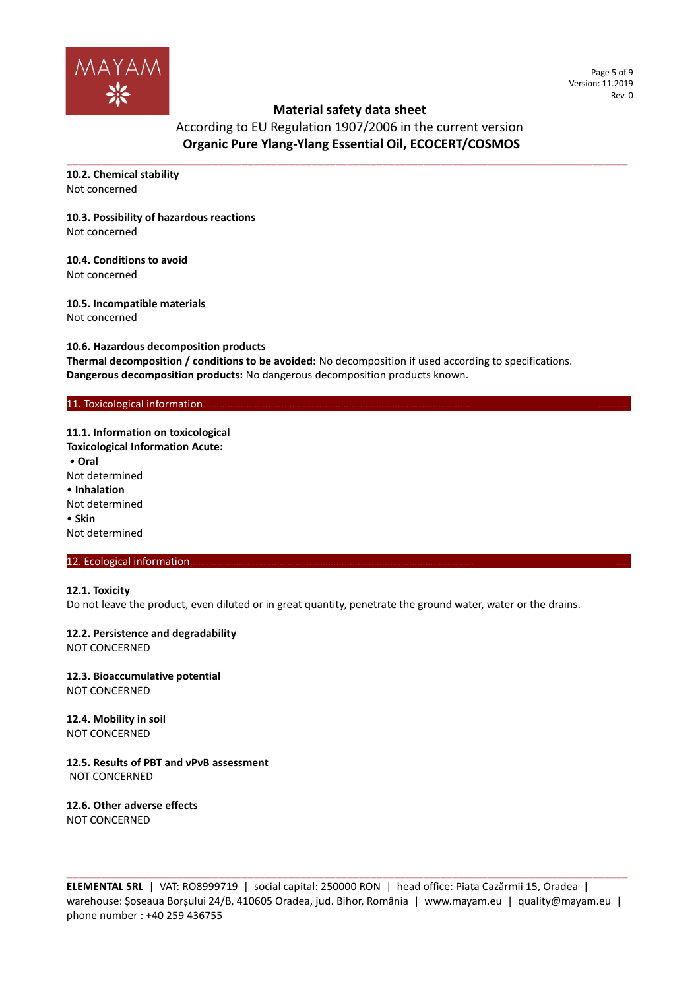

Page 5 of 9 Version: 11.2019 Rev. 0

# **Material safety data sheet**

According to EU Regulation 1907/2006 in the current version **Organic Pure Ylang-Ylang Essential Oil, ECOCERT/COSMOS**

**\_\_\_\_\_\_\_\_\_\_\_\_\_\_\_\_\_\_\_\_\_\_\_\_\_\_\_\_\_\_\_\_\_\_\_\_\_\_\_\_\_\_\_\_\_\_\_\_\_\_\_\_\_\_\_\_\_\_\_\_\_\_\_\_\_\_\_\_\_\_\_\_\_\_\_\_\_\_\_\_\_\_\_\_\_\_\_\_\_\_\_\_\_\_\_\_**

**10.2. Chemical stability** Not concerned

# **10.3. Possibility of hazardous reactions**

Not concerned

**10.4. Conditions to avoid** Not concerned

### **10.5. Incompatible materials**

Not concerned

**10.6. Hazardous decomposition products Thermal decomposition / conditions to be avoided:** No decomposition if used according to specifications. **Dangerous decomposition products:** No dangerous decomposition products known.

### 11. Toxicological information

**11.1. Information on toxicological Toxicological Information Acute:** • **Oral** Not determined • **Inhalation** Not determined • **Skin** Not determined

### 12. Ecological information

### **12.1. Toxicity**

Do not leave the product, even diluted or in great quantity, penetrate the ground water, water or the drains.

**12.2. Persistence and degradability**

NOT CONCERNED

# **12.3. Bioaccumulative potential**

NOT CONCERNED

**12.4. Mobility in soil** NOT CONCERNED

**12.5. Results of PBT and vPvB assessment** NOT CONCERNED

**12.6. Other adverse effects** NOT CONCERNED

**ELEMENTAL SRL** | VAT: RO8999719 | social capital: 250000 RON | head office: Piața Cazărmii 15, Oradea | warehouse: Șoseaua Borșului 24/B, 410605 Oradea, jud. Bihor, România | www.mayam.eu | quality@mayam.eu | phone number : +40 259 436755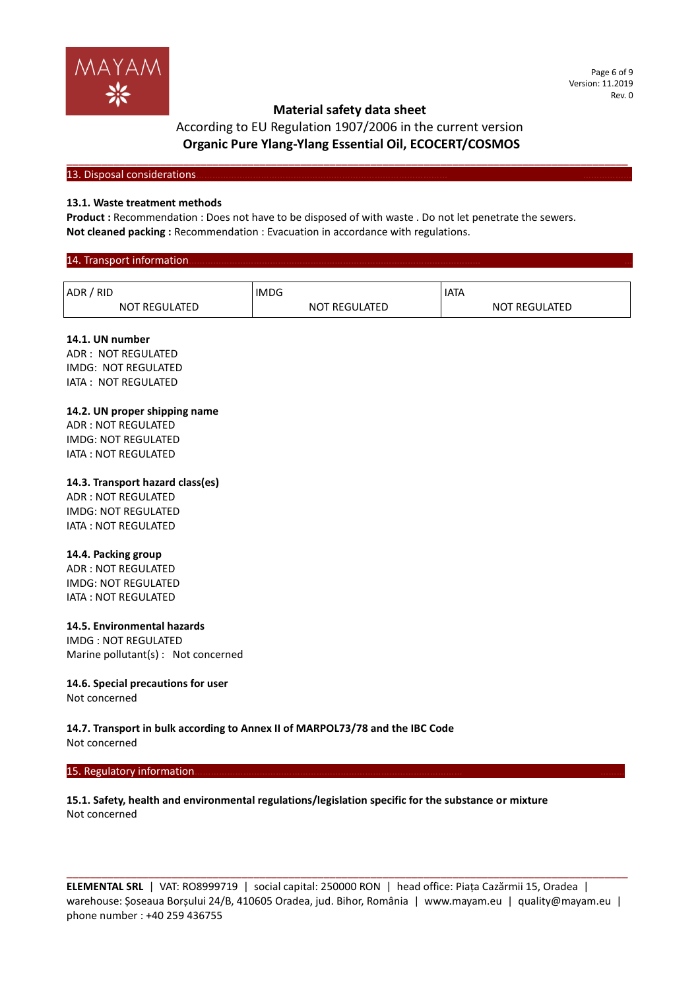

#### Page 6 of 9 Version: 11.2019 Rev. 0

# **Material safety data sheet**

# According to EU Regulation 1907/2006 in the current version **Organic Pure Ylang-Ylang Essential Oil, ECOCERT/COSMOS**

**\_\_\_\_\_\_\_\_\_\_\_\_\_\_\_\_\_\_\_\_\_\_\_\_\_\_\_\_\_\_\_\_\_\_\_\_\_\_\_\_\_\_\_\_\_\_\_\_\_\_\_\_\_\_\_\_\_\_\_\_\_\_\_\_\_\_\_\_\_\_\_\_\_\_\_\_\_\_\_\_\_\_\_\_\_\_\_\_\_\_\_\_\_\_\_\_**

#### 13. Disposal considerations

#### **13.1. Waste treatment methods**

**Product :** Recommendation : Does not have to be disposed of with waste . Do not let penetrate the sewers. **Not cleaned packing :** Recommendation : Evacuation in accordance with regulations.

#### 14. Transport information ADR / RID NOT REGULATED IMDG NOT REGULATED IATA NOT REGULATED

### **14.1. UN number**

ADR : NOT REGULATED IMDG: NOT REGULATED IATA : NOT REGULATED

### **14.2. UN proper shipping name**

ADR : NOT REGULATED IMDG: NOT REGULATED IATA : NOT REGULATED

### **14.3. Transport hazard class(es)**

ADR : NOT REGULATED IMDG: NOT REGULATED IATA : NOT REGULATED

### **14.4. Packing group**

ADR : NOT REGULATED IMDG: NOT REGULATED IATA : NOT REGULATED

### **14.5. Environmental hazards**

IMDG : NOT REGULATED Marine pollutant(s) : Not concerned

### **14.6. Special precautions for user**

Not concerned

**14.7. Transport in bulk according to Annex II of MARPOL73/78 and the IBC Code** Not concerned

#### 15. Regulatory information

### **15.1. Safety, health and environmental regulations/legislation specific for the substance or mixture** Not concerned

**ELEMENTAL SRL** | VAT: RO8999719 | social capital: 250000 RON | head office: Piața Cazărmii 15, Oradea | warehouse: Șoseaua Borșului 24/B, 410605 Oradea, jud. Bihor, România | www.mayam.eu | quality@mayam.eu | phone number : +40 259 436755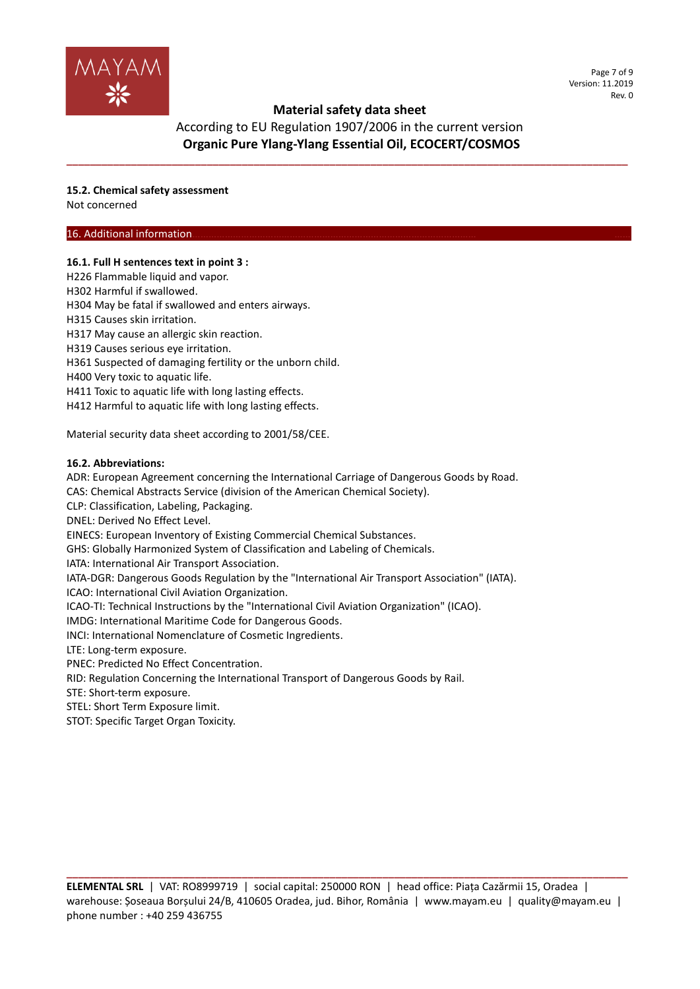

According to EU Regulation 1907/2006 in the current version **Organic Pure Ylang-Ylang Essential Oil, ECOCERT/COSMOS**

**\_\_\_\_\_\_\_\_\_\_\_\_\_\_\_\_\_\_\_\_\_\_\_\_\_\_\_\_\_\_\_\_\_\_\_\_\_\_\_\_\_\_\_\_\_\_\_\_\_\_\_\_\_\_\_\_\_\_\_\_\_\_\_\_\_\_\_\_\_\_\_\_\_\_\_\_\_\_\_\_\_\_\_\_\_\_\_\_\_\_\_\_\_\_\_\_**

**15.2. Chemical safety assessment**

Not concerned

### 16. Additional information.

### **16.1. Full H sentences text in point 3 :**

- H226 Flammable liquid and vapor.
- H302 Harmful if swallowed.
- H304 May be fatal if swallowed and enters airways.
- H315 Causes skin irritation.
- H317 May cause an allergic skin reaction.
- H319 Causes serious eye irritation.
- H361 Suspected of damaging fertility or the unborn child.
- H400 Very toxic to aquatic life.
- H411 Toxic to aquatic life with long lasting effects.
- H412 Harmful to aquatic life with long lasting effects.

Material security data sheet according to 2001/58/CEE.

### **16.2. Abbreviations:**

ADR: European Agreement concerning the International Carriage of Dangerous Goods by Road.

CAS: Chemical Abstracts Service (division of the American Chemical Society).

CLP: Classification, Labeling, Packaging.

DNEL: Derived No Effect Level.

EINECS: European Inventory of Existing Commercial Chemical Substances.

GHS: Globally Harmonized System of Classification and Labeling of Chemicals.

IATA: International Air Transport Association.

IATA-DGR: Dangerous Goods Regulation by the "International Air Transport Association" (IATA).

ICAO: International Civil Aviation Organization.

ICAO-TI: Technical Instructions by the "International Civil Aviation Organization" (ICAO).

IMDG: International Maritime Code for Dangerous Goods.

INCI: International Nomenclature of Cosmetic Ingredients.

LTE: Long-term exposure.

PNEC: Predicted No Effect Concentration.

RID: Regulation Concerning the International Transport of Dangerous Goods by Rail.

STE: Short-term exposure.

STEL: Short Term Exposure limit.

STOT: Specific Target Organ Toxicity.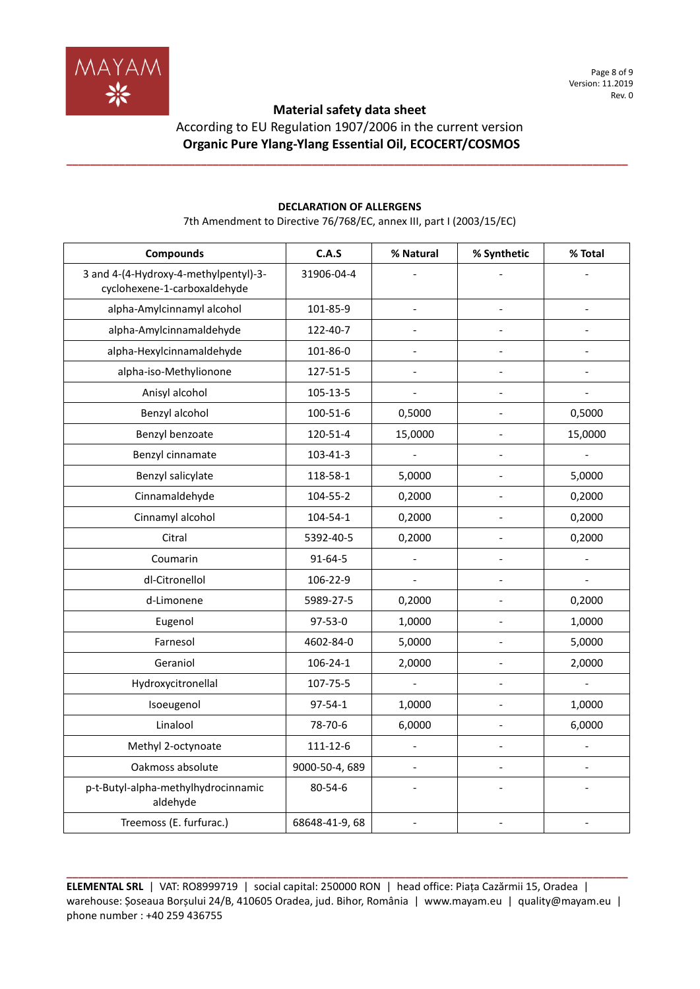

According to EU Regulation 1907/2006 in the current version **Organic Pure Ylang-Ylang Essential Oil, ECOCERT/COSMOS**

**\_\_\_\_\_\_\_\_\_\_\_\_\_\_\_\_\_\_\_\_\_\_\_\_\_\_\_\_\_\_\_\_\_\_\_\_\_\_\_\_\_\_\_\_\_\_\_\_\_\_\_\_\_\_\_\_\_\_\_\_\_\_\_\_\_\_\_\_\_\_\_\_\_\_\_\_\_\_\_\_\_\_\_\_\_\_\_\_\_\_\_\_\_\_\_\_**

| <b>Compounds</b>                                                      | C.A.S          | % Natural                | % Synthetic    | % Total                  |
|-----------------------------------------------------------------------|----------------|--------------------------|----------------|--------------------------|
| 3 and 4-(4-Hydroxy-4-methylpentyl)-3-<br>cyclohexene-1-carboxaldehyde | 31906-04-4     |                          |                |                          |
| alpha-Amylcinnamyl alcohol                                            | 101-85-9       | $\frac{1}{2}$            |                |                          |
| alpha-Amylcinnamaldehyde                                              | 122-40-7       |                          |                |                          |
| alpha-Hexylcinnamaldehyde                                             | 101-86-0       | $\overline{\phantom{a}}$ | $\overline{a}$ | $\overline{\phantom{a}}$ |
| alpha-iso-Methylionone                                                | 127-51-5       |                          |                |                          |
| Anisyl alcohol                                                        | 105-13-5       | $\overline{a}$           |                |                          |
| Benzyl alcohol                                                        | 100-51-6       | 0,5000                   | $\overline{a}$ | 0,5000                   |
| Benzyl benzoate                                                       | 120-51-4       | 15,0000                  |                | 15,0000                  |
| Benzyl cinnamate                                                      | 103-41-3       | $\overline{a}$           |                |                          |
| Benzyl salicylate                                                     | 118-58-1       | 5,0000                   | $\overline{a}$ | 5,0000                   |
| Cinnamaldehyde                                                        | 104-55-2       | 0,2000                   | $\overline{a}$ | 0,2000                   |
| Cinnamyl alcohol                                                      | 104-54-1       | 0,2000                   |                | 0,2000                   |
| Citral                                                                | 5392-40-5      | 0,2000                   |                | 0,2000                   |
| Coumarin                                                              | $91 - 64 - 5$  | $\overline{a}$           | $\overline{a}$ | $\overline{a}$           |
| dl-Citronellol                                                        | 106-22-9       |                          |                |                          |
| d-Limonene                                                            | 5989-27-5      | 0,2000                   |                | 0,2000                   |
| Eugenol                                                               | 97-53-0        | 1,0000                   | $\overline{a}$ | 1,0000                   |
| Farnesol                                                              | 4602-84-0      | 5,0000                   |                | 5,0000                   |
| Geraniol                                                              | $106 - 24 - 1$ | 2,0000                   |                | 2,0000                   |
| Hydroxycitronellal                                                    | 107-75-5       |                          | $\overline{a}$ |                          |
| Isoeugenol                                                            | 97-54-1        | 1,0000                   | $\overline{a}$ | 1,0000                   |
| Linalool                                                              | 78-70-6        | 6,0000                   |                | 6,0000                   |
| Methyl 2-octynoate                                                    | 111-12-6       | $\overline{a}$           |                |                          |
| Oakmoss absolute                                                      | 9000-50-4, 689 | $\overline{\phantom{a}}$ | $\overline{a}$ | $\overline{a}$           |
| p-t-Butyl-alpha-methylhydrocinnamic<br>aldehyde                       | 80-54-6        |                          |                |                          |
| Treemoss (E. furfurac.)                                               | 68648-41-9, 68 | $\overline{\phantom{a}}$ | $\overline{a}$ | $\overline{a}$           |

# **DECLARATION OF ALLERGENS**

7th Amendment to Directive 76/768/EC, annex III, part I (2003/15/EC)

**ELEMENTAL SRL** | VAT: RO8999719 | social capital: 250000 RON | head office: Piața Cazărmii 15, Oradea | warehouse: Șoseaua Borșului 24/B, 410605 Oradea, jud. Bihor, România | www.mayam.eu | quality@mayam.eu | phone number : +40 259 436755